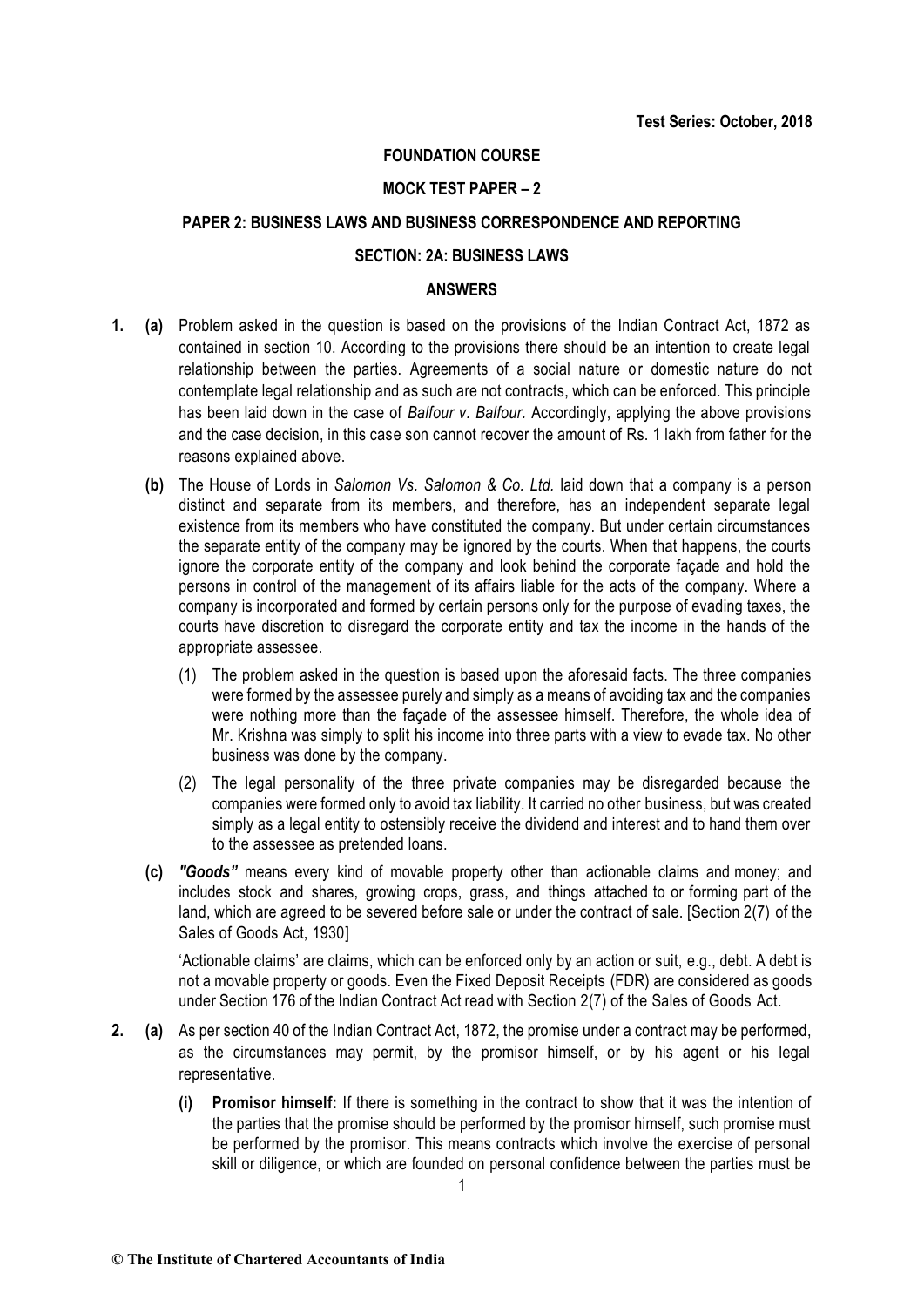## **FOUNDATION COURSE**

### **MOCK TEST PAPER – 2**

## **PAPER 2: BUSINESS LAWS AND BUSINESS CORRESPONDENCE AND REPORTING**

## **SECTION: 2A: BUSINESS LAWS**

## **ANSWERS**

- **1. (a)** Problem asked in the question is based on the provisions of the Indian Contract Act, 1872 as contained in section 10. According to the provisions there should be an intention to create legal relationship between the parties. Agreements of a social nature or domestic nature do not contemplate legal relationship and as such are not contracts, which can be enforced. This principle has been laid down in the case of *Balfour v. Balfour.* Accordingly, applying the above provisions and the case decision, in this case son cannot recover the amount of Rs. 1 lakh from father for the reasons explained above.
	- **(b)** The House of Lords in *Salomon Vs. Salomon & Co. Ltd.* laid down that a company is a person distinct and separate from its members, and therefore, has an independent separate legal existence from its members who have constituted the company. But under certain circumstances the separate entity of the company may be ignored by the courts. When that happens, the courts ignore the corporate entity of the company and look behind the corporate façade and hold the persons in control of the management of its affairs liable for the acts of the company. Where a company is incorporated and formed by certain persons only for the purpose of evading taxes, the courts have discretion to disregard the corporate entity and tax the income in the hands of the appropriate assessee.
		- (1) The problem asked in the question is based upon the aforesaid facts. The three companies were formed by the assessee purely and simply as a means of avoiding tax and the companies were nothing more than the façade of the assessee himself. Therefore, the whole idea of Mr. Krishna was simply to split his income into three parts with a view to evade tax. No other business was done by the company.
		- (2) The legal personality of the three private companies may be disregarded because the companies were formed only to avoid tax liability. It carried no other business, but was created simply as a legal entity to ostensibly receive the dividend and interest and to hand them over to the assessee as pretended loans.
	- **(c)** *"Goods"* means every kind of movable property other than actionable claims and money; and includes stock and shares, growing crops, grass, and things attached to or forming part of the land, which are agreed to be severed before sale or under the contract of sale. [Section 2(7) of the Sales of Goods Act, 1930]

'Actionable claims' are claims, which can be enforced only by an action or suit, e.g., debt. A debt is not a movable property or goods. Even the Fixed Deposit Receipts (FDR) are considered as goods under Section 176 of the Indian Contract Act read with Section 2(7) of the Sales of Goods Act.

- **2. (a)** As per section 40 of the Indian Contract Act, 1872, the promise under a contract may be performed, as the circumstances may permit, by the promisor himself, or by his agent or his legal representative.
	- **(i) Promisor himself:** If there is something in the contract to show that it was the intention of the parties that the promise should be performed by the promisor himself, such promise must be performed by the promisor. This means contracts which involve the exercise of personal skill or diligence, or which are founded on personal confidence between the parties must be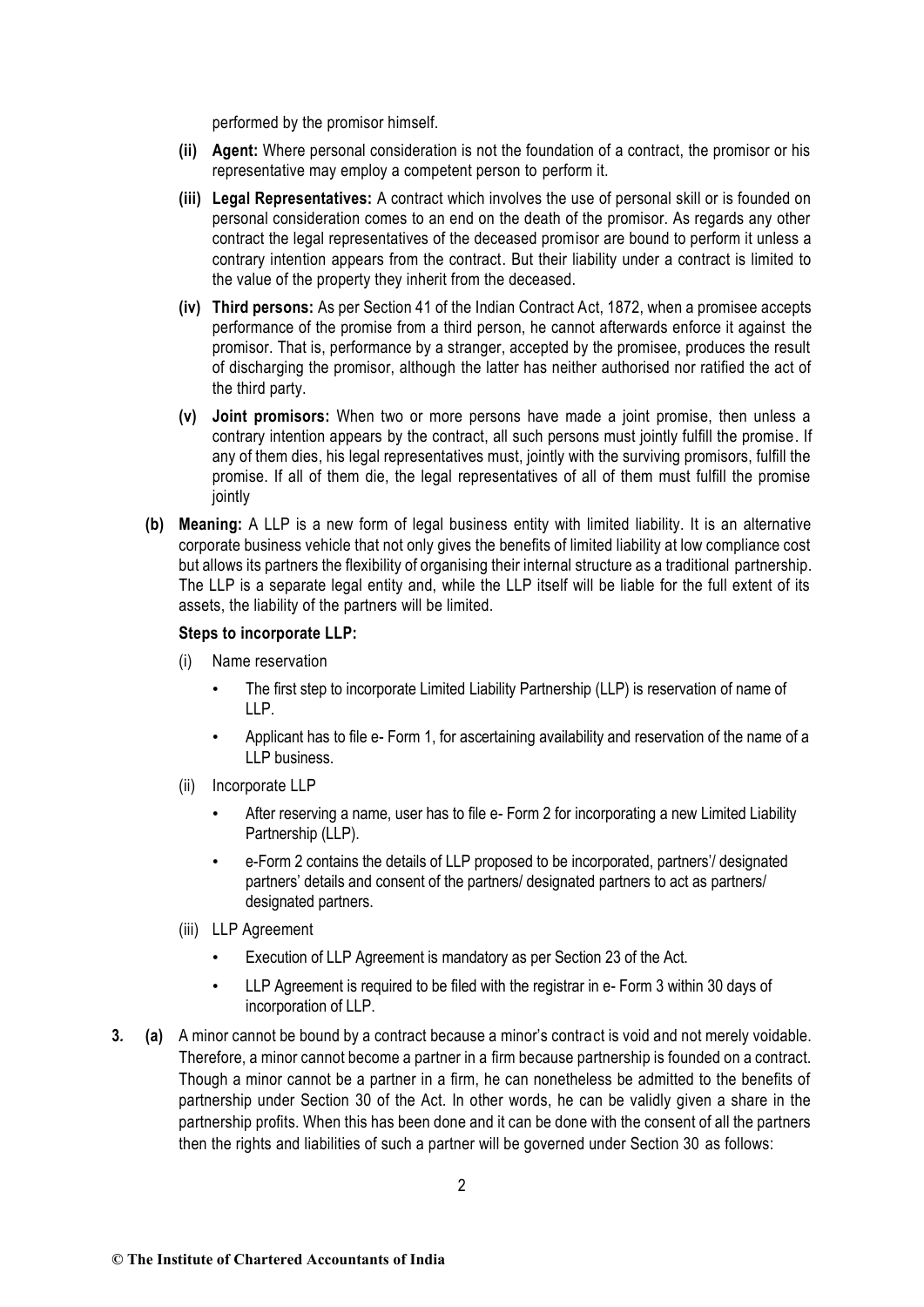performed by the promisor himself.

- **(ii) Agent:** Where personal consideration is not the foundation of a contract, the promisor or his representative may employ a competent person to perform it.
- **(iii) Legal Representatives:** A contract which involves the use of personal skill or is founded on personal consideration comes to an end on the death of the promisor. As regards any other contract the legal representatives of the deceased promisor are bound to perform it unless a contrary intention appears from the contract. But their liability under a contract is limited to the value of the property they inherit from the deceased.
- **(iv) Third persons:** As per Section 41 of the Indian Contract Act, 1872, when a promisee accepts performance of the promise from a third person, he cannot afterwards enforce it against the promisor. That is, performance by a stranger, accepted by the promisee, produces the result of discharging the promisor, although the latter has neither authorised nor ratified the act of the third party.
- **(v) Joint promisors:** When two or more persons have made a joint promise, then unless a contrary intention appears by the contract, all such persons must jointly fulfill the promise. If any of them dies, his legal representatives must, jointly with the surviving promisors, fulfill the promise. If all of them die, the legal representatives of all of them must fulfill the promise jointly
- **(b) Meaning:** A LLP is a new form of legal business entity with limited liability. It is an alternative corporate business vehicle that not only gives the benefits of limited liability at low compliance cost but allows its partners the flexibility of organising their internal structure as a traditional partnership. The LLP is a separate legal entity and, while the LLP itself will be liable for the full extent of its assets, the liability of the partners will be limited.

### **Steps to incorporate LLP:**

- (i) Name reservation
	- The first step to incorporate Limited Liability Partnership (LLP) is reservation of name of LLP.
	- Applicant has to file e- Form 1, for ascertaining availability and reservation of the name of a LLP business.
- (ii) Incorporate LLP
	- After reserving a name, user has to file e- Form 2 for incorporating a new Limited Liability Partnership (LLP).
	- e-Form 2 contains the details of LLP proposed to be incorporated, partners'/ designated partners' details and consent of the partners/ designated partners to act as partners/ designated partners.
- (iii) LLP Agreement
	- Execution of LLP Agreement is mandatory as per Section 23 of the Act.
	- LLP Agreement is required to be filed with the registrar in e- Form 3 within 30 days of incorporation of LLP.
- **3***.* **(a)** A minor cannot be bound by a contract because a minor's contract is void and not merely voidable. Therefore, a minor cannot become a partner in a firm because partnership is founded on a contract. Though a minor cannot be a partner in a firm, he can nonetheless be admitted to the benefits of partnership under Section 30 of the Act. In other words, he can be validly given a share in the partnership profits. When this has been done and it can be done with the consent of all the partners then the rights and liabilities of such a partner will be governed under Section 30 as follows: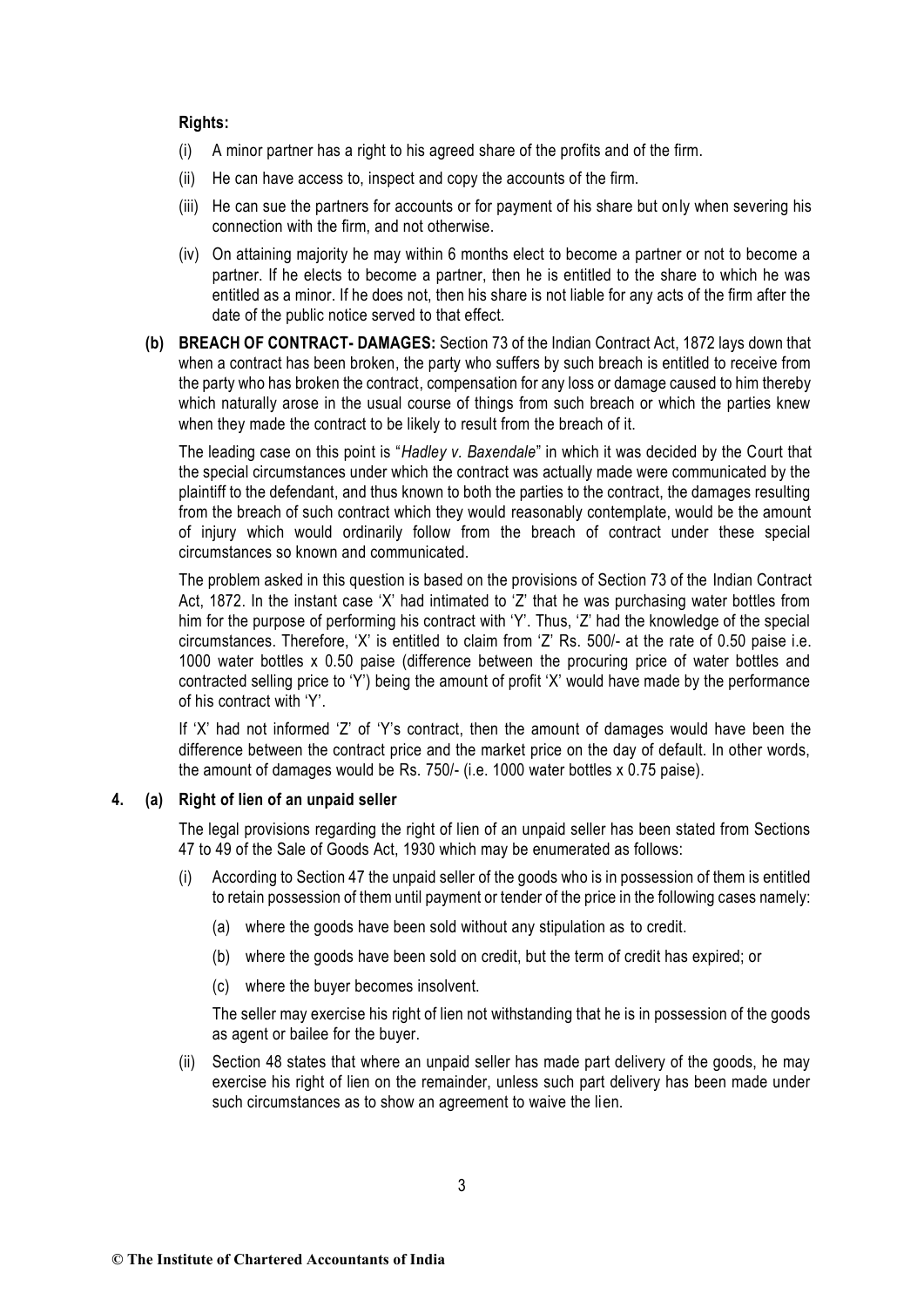### **Rights:**

- $(i)$  A minor partner has a right to his agreed share of the profits and of the firm.
- (ii) He can have access to, inspect and copy the accounts of the firm.
- (iii) He can sue the partners for accounts or for payment of his share but only when severing his connection with the firm, and not otherwise.
- (iv) On attaining majority he may within 6 months elect to become a partner or not to become a partner. If he elects to become a partner, then he is entitled to the share to which he was entitled as a minor. If he does not, then his share is not liable for any acts of the firm after the date of the public notice served to that effect.
- **(b) BREACH OF CONTRACT- DAMAGES:** Section 73 of the Indian Contract Act, 1872 lays down that when a contract has been broken, the party who suffers by such breach is entitled to receive from the party who has broken the contract, compensation for any loss or damage caused to him thereby which naturally arose in the usual course of things from such breach or which the parties knew when they made the contract to be likely to result from the breach of it.

The leading case on this point is "*Hadley v. Baxendale*" in which it was decided by the Court that the special circumstances under which the contract was actually made were communicated by the plaintiff to the defendant, and thus known to both the parties to the contract, the damages resulting from the breach of such contract which they would reasonably contemplate, would be the amount of injury which would ordinarily follow from the breach of contract under these special circumstances so known and communicated.

The problem asked in this question is based on the provisions of Section 73 of the Indian Contract Act, 1872. In the instant case 'X' had intimated to 'Z' that he was purchasing water bottles from him for the purpose of performing his contract with 'Y'. Thus, 'Z' had the knowledge of the special circumstances. Therefore, 'X' is entitled to claim from 'Z' Rs. 500/- at the rate of 0.50 paise i.e. 1000 water bottles x 0.50 paise (difference between the procuring price of water bottles and contracted selling price to 'Y') being the amount of profit 'X' would have made by the performance of his contract with 'Y'.

If 'X' had not informed 'Z' of 'Y's contract, then the amount of damages would have been the difference between the contract price and the market price on the day of default. In other words, the amount of damages would be Rs. 750/- (i.e. 1000 water bottles x 0.75 paise).

### **4. (a) Right of lien of an unpaid seller**

The legal provisions regarding the right of lien of an unpaid seller has been stated from Sections 47 to 49 of the Sale of Goods Act, 1930 which may be enumerated as follows:

- (i) According to Section 47 the unpaid seller of the goods who is in possession of them is entitled to retain possession of them until payment or tender of the price in the following cases namely:
	- (a) where the goods have been sold without any stipulation as to credit.
	- (b) where the goods have been sold on credit, but the term of credit has expired; or
	- (c) where the buyer becomes insolvent.

The seller may exercise his right of lien not withstanding that he is in possession of the goods as agent or bailee for the buyer.

(ii) Section 48 states that where an unpaid seller has made part delivery of the goods, he may exercise his right of lien on the remainder, unless such part delivery has been made under such circumstances as to show an agreement to waive the lien.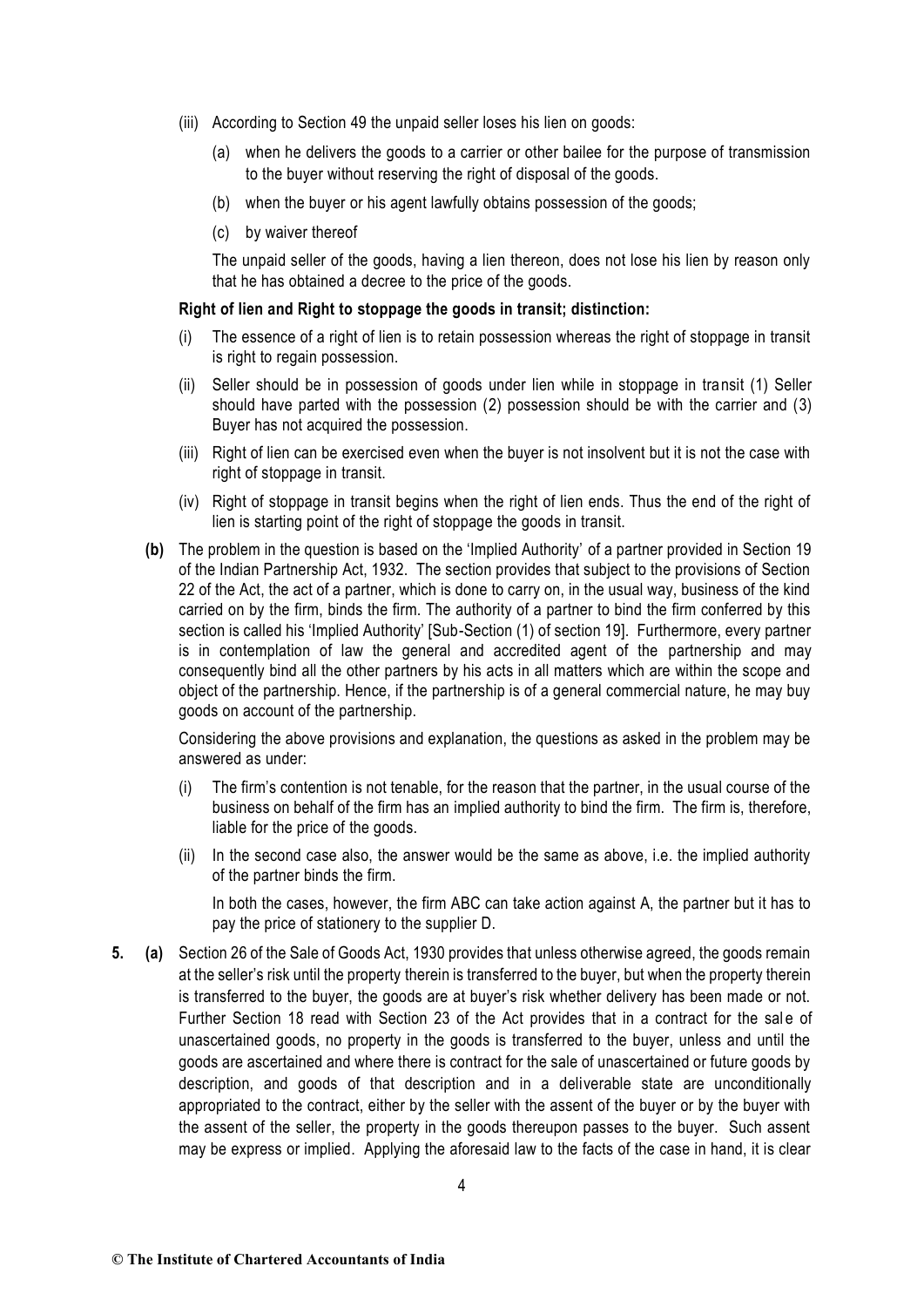- (iii) According to Section 49 the unpaid seller loses his lien on goods:
	- (a) when he delivers the goods to a carrier or other bailee for the purpose of transmission to the buyer without reserving the right of disposal of the goods.
	- (b) when the buyer or his agent lawfully obtains possession of the goods;
	- (c) by waiver thereof

The unpaid seller of the goods, having a lien thereon, does not lose his lien by reason only that he has obtained a decree to the price of the goods.

#### **Right of lien and Right to stoppage the goods in transit; distinction:**

- (i) The essence of a right of lien is to retain possession whereas the right of stoppage in transit is right to regain possession.
- (ii) Seller should be in possession of goods under lien while in stoppage in transit (1) Seller should have parted with the possession (2) possession should be with the carrier and (3) Buyer has not acquired the possession.
- (iii) Right of lien can be exercised even when the buyer is not insolvent but it is not the case with right of stoppage in transit.
- (iv) Right of stoppage in transit begins when the right of lien ends. Thus the end of the right of lien is starting point of the right of stoppage the goods in transit.
- **(b)** The problem in the question is based on the 'Implied Authority' of a partner provided in Section 19 of the Indian Partnership Act, 1932. The section provides that subject to the provisions of Section 22 of the Act, the act of a partner, which is done to carry on, in the usual way, business of the kind carried on by the firm, binds the firm. The authority of a partner to bind the firm conferred by this section is called his 'Implied Authority' [Sub-Section (1) of section 19]. Furthermore, every partner is in contemplation of law the general and accredited agent of the partnership and may consequently bind all the other partners by his acts in all matters which are within the scope and object of the partnership. Hence, if the partnership is of a general commercial nature, he may buy goods on account of the partnership.

Considering the above provisions and explanation, the questions as asked in the problem may be answered as under:

- (i) The firm's contention is not tenable, for the reason that the partner, in the usual course of the business on behalf of the firm has an implied authority to bind the firm. The firm is, therefore, liable for the price of the goods.
- (ii) In the second case also, the answer would be the same as above, i.e. the implied authority of the partner binds the firm.

In both the cases, however, the firm ABC can take action against A, the partner but it has to pay the price of stationery to the supplier D.

**5. (a)** Section 26 of the Sale of Goods Act, 1930 provides that unless otherwise agreed, the goods remain at the seller's risk until the property therein is transferred to the buyer, but when the property therein is transferred to the buyer, the goods are at buyer's risk whether delivery has been made or not. Further Section 18 read with Section 23 of the Act provides that in a contract for the sale of unascertained goods, no property in the goods is transferred to the buyer, unless and until the goods are ascertained and where there is contract for the sale of unascertained or future goods by description, and goods of that description and in a deliverable state are unconditionally appropriated to the contract, either by the seller with the assent of the buyer or by the buyer with the assent of the seller, the property in the goods thereupon passes to the buyer. Such assent may be express or implied. Applying the aforesaid law to the facts of the case in hand, it is clear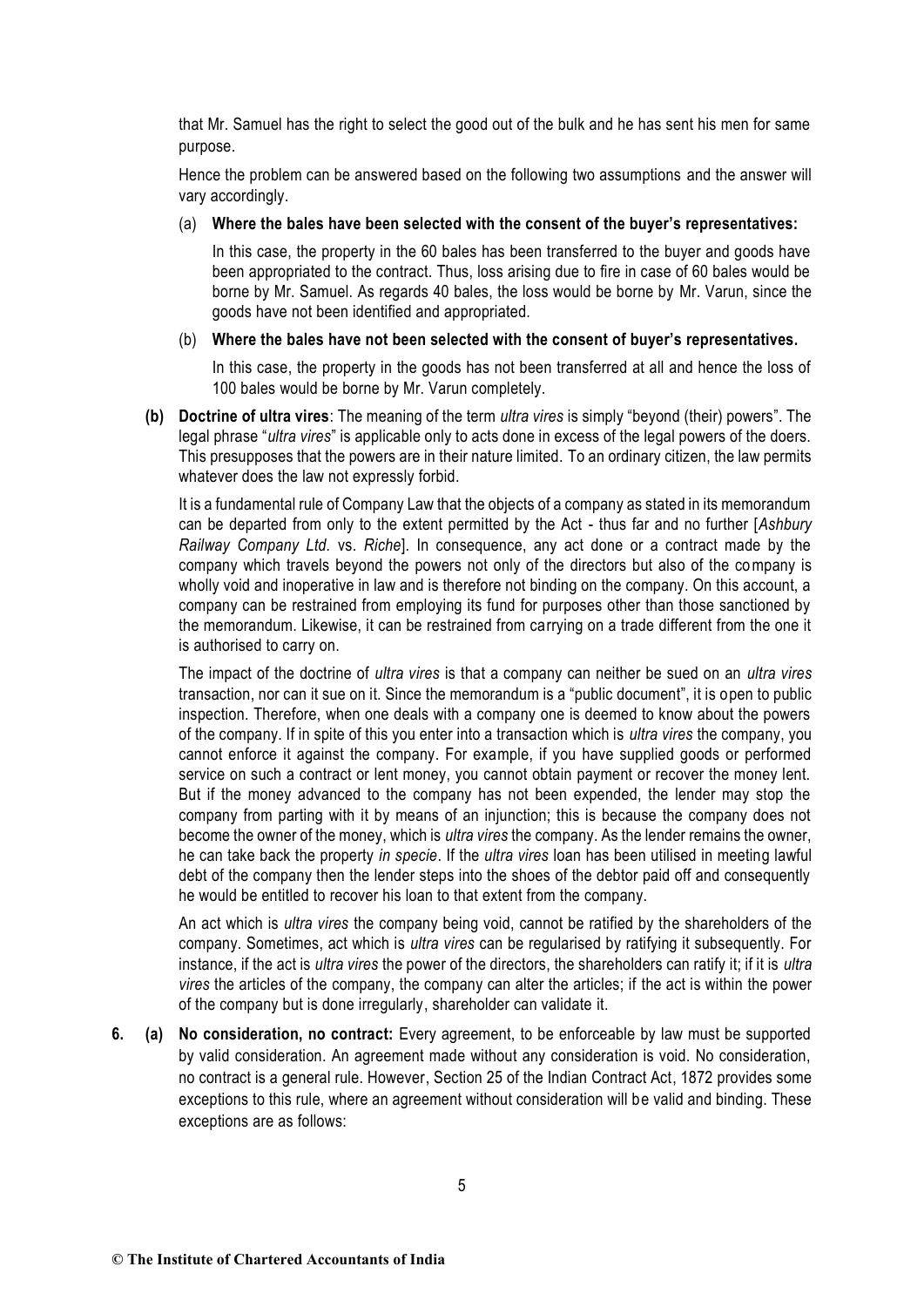that Mr. Samuel has the right to select the good out of the bulk and he has sent his men for same purpose.

Hence the problem can be answered based on the following two assumptions and the answer will vary accordingly.

#### (a) **Where the bales have been selected with the consent of the buyer's representatives:**

In this case, the property in the 60 bales has been transferred to the buyer and goods have been appropriated to the contract. Thus, loss arising due to fire in case of 60 bales would be borne by Mr. Samuel. As regards 40 bales, the loss would be borne by Mr. Varun, since the goods have not been identified and appropriated.

#### (b) **Where the bales have not been selected with the consent of buyer's representatives.**

In this case, the property in the goods has not been transferred at all and hence the loss of 100 bales would be borne by Mr. Varun completely.

**(b) Doctrine of ultra vires**: The meaning of the term *ultra vires* is simply "beyond (their) powers". The legal phrase "*ultra vires*" is applicable only to acts done in excess of the legal powers of the doers. This presupposes that the powers are in their nature limited. To an ordinary citizen, the law permits whatever does the law not expressly forbid.

It is a fundamental rule of Company Law that the objects of a company as stated in its memorandum can be departed from only to the extent permitted by the Act - thus far and no further [*Ashbury Railway Company Ltd.* vs. *Riche*]. In consequence, any act done or a contract made by the company which travels beyond the powers not only of the directors but also of the company is wholly void and inoperative in law and is therefore not binding on the company. On this account, a company can be restrained from employing its fund for purposes other than those sanctioned by the memorandum. Likewise, it can be restrained from carrying on a trade different from the one it is authorised to carry on.

The impact of the doctrine of *ultra vires* is that a company can neither be sued on an *ultra vires* transaction, nor can it sue on it. Since the memorandum is a "public document", it is open to public inspection. Therefore, when one deals with a company one is deemed to know about the powers of the company. If in spite of this you enter into a transaction which is *ultra vires* the company, you cannot enforce it against the company. For example, if you have supplied goods or performed service on such a contract or lent money, you cannot obtain payment or recover the money lent. But if the money advanced to the company has not been expended, the lender may stop the company from parting with it by means of an injunction; this is because the company does not become the owner of the money, which is *ultra vires* the company. As the lender remains the owner, he can take back the property *in specie*. If the *ultra vires* loan has been utilised in meeting lawful debt of the company then the lender steps into the shoes of the debtor paid off and consequently he would be entitled to recover his loan to that extent from the company.

An act which is *ultra vires* the company being void, cannot be ratified by the shareholders of the company. Sometimes, act which is *ultra vires* can be regularised by ratifying it subsequently. For instance, if the act is *ultra vires* the power of the directors, the shareholders can ratify it; if it is *ultra vires* the articles of the company, the company can alter the articles; if the act is within the power of the company but is done irregularly, shareholder can validate it.

**6. (a) No consideration, no contract:** Every agreement, to be enforceable by law must be supported by valid consideration. An agreement made without any consideration is void. No consideration, no contract is a general rule. However, Section 25 of the Indian Contract Act, 1872 provides some exceptions to this rule, where an agreement without consideration will be valid and binding. These exceptions are as follows: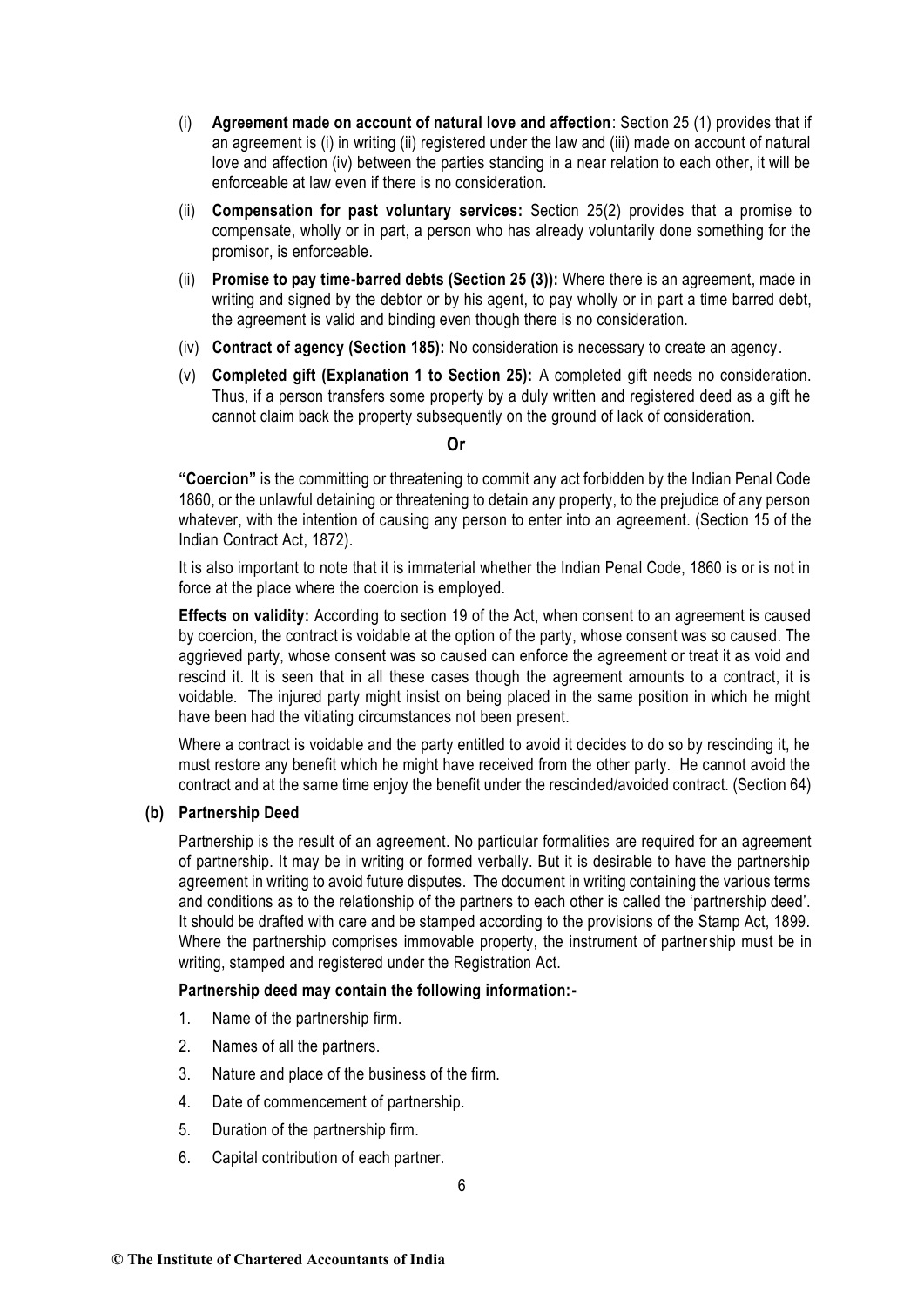- (i) **Agreement made on account of natural love and affection**: Section 25 (1) provides that if an agreement is (i) in writing (ii) registered under the law and (iii) made on account of natural love and affection (iv) between the parties standing in a near relation to each other, it will be enforceable at law even if there is no consideration.
- (ii) **Compensation for past voluntary services:** Section 25(2) provides that a promise to compensate, wholly or in part, a person who has already voluntarily done something for the promisor, is enforceable.
- (ii) **Promise to pay time-barred debts (Section 25 (3)):** Where there is an agreement, made in writing and signed by the debtor or by his agent, to pay wholly or in part a time barred debt, the agreement is valid and binding even though there is no consideration.
- (iv) **Contract of agency (Section 185):** No consideration is necessary to create an agency.
- (v) **Completed gift (Explanation 1 to Section 25):** A completed gift needs no consideration. Thus, if a person transfers some property by a duly written and registered deed as a gift he cannot claim back the property subsequently on the ground of lack of consideration.

### **Or**

**"Coercion"** is the committing or threatening to commit any act forbidden by the Indian Penal Code 1860, or the unlawful detaining or threatening to detain any property, to the prejudice of any person whatever, with the intention of causing any person to enter into an agreement. (Section 15 of the Indian Contract Act, 1872).

It is also important to note that it is immaterial whether the Indian Penal Code, 1860 is or is not in force at the place where the coercion is employed.

**Effects on validity:** According to section 19 of the Act, when consent to an agreement is caused by coercion, the contract is voidable at the option of the party, whose consent was so caused. The aggrieved party, whose consent was so caused can enforce the agreement or treat it as void and rescind it. It is seen that in all these cases though the agreement amounts to a contract, it is voidable. The injured party might insist on being placed in the same position in which he might have been had the vitiating circumstances not been present.

Where a contract is voidable and the party entitled to avoid it decides to do so by rescinding it, he must restore any benefit which he might have received from the other party. He cannot avoid the contract and at the same time enjoy the benefit under the rescinded/avoided contract. (Section 64)

## **(b) Partnership Deed**

Partnership is the result of an agreement. No particular formalities are required for an agreement of partnership. It may be in writing or formed verbally. But it is desirable to have the partnership agreement in writing to avoid future disputes. The document in writing containing the various terms and conditions as to the relationship of the partners to each other is called the 'partnership deed'. It should be drafted with care and be stamped according to the provisions of the Stamp Act, 1899. Where the partnership comprises immovable property, the instrument of partner ship must be in writing, stamped and registered under the Registration Act.

#### **Partnership deed may contain the following information:-**

- 1. Name of the partnership firm.
- 2. Names of all the partners.
- 3. Nature and place of the business of the firm.
- 4. Date of commencement of partnership.
- 5. Duration of the partnership firm.
- 6. Capital contribution of each partner.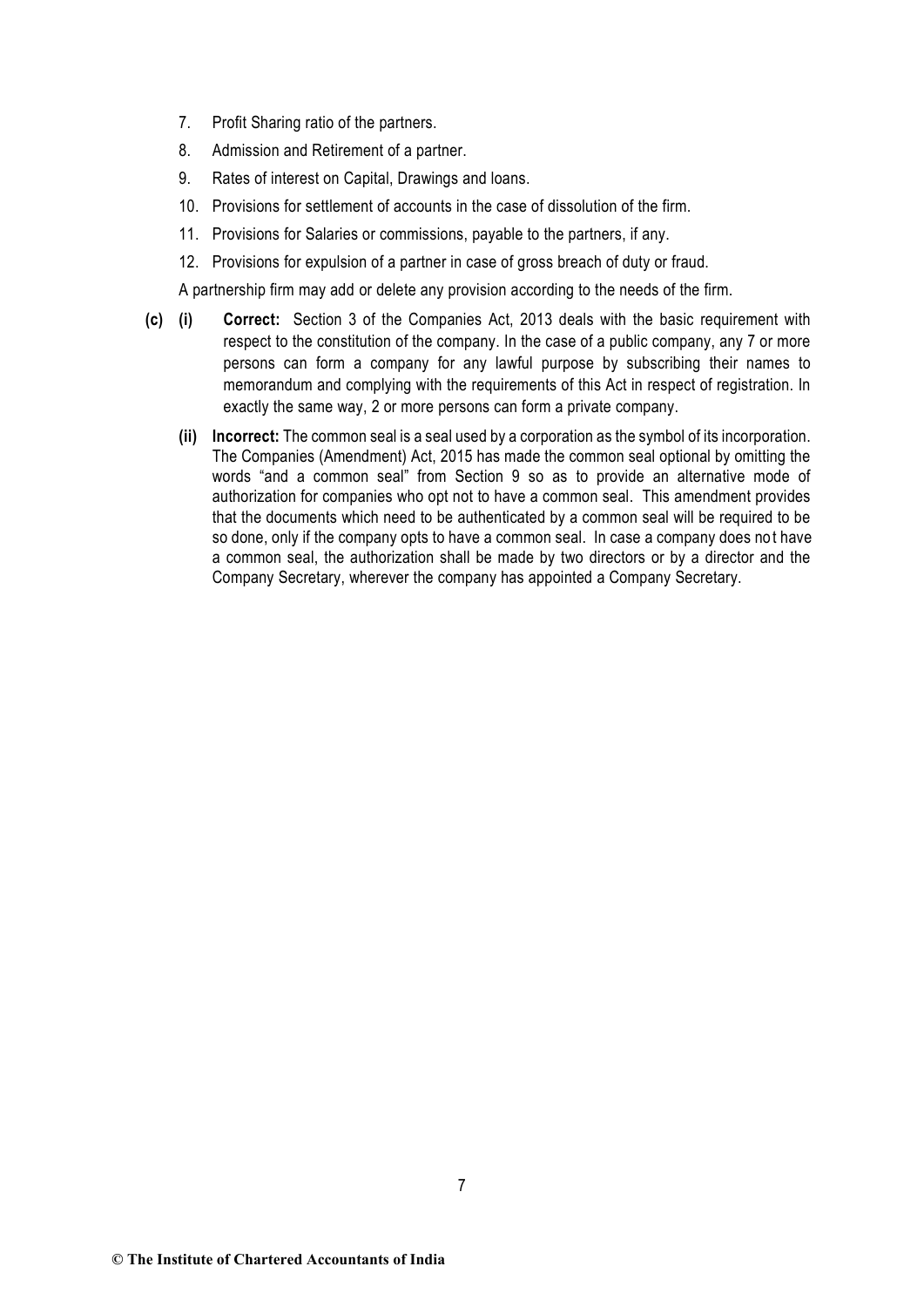- 7. Profit Sharing ratio of the partners.
- 8. Admission and Retirement of a partner.
- 9. Rates of interest on Capital, Drawings and loans.
- 10. Provisions for settlement of accounts in the case of dissolution of the firm.
- 11. Provisions for Salaries or commissions, payable to the partners, if any.
- 12. Provisions for expulsion of a partner in case of gross breach of duty or fraud.

A partnership firm may add or delete any provision according to the needs of the firm.

- **(c) (i) Correct:** Section 3 of the Companies Act, 2013 deals with the basic requirement with respect to the constitution of the company. In the case of a public company, any 7 or more persons can form a company for any lawful purpose by subscribing their names to memorandum and complying with the requirements of this Act in respect of registration. In exactly the same way, 2 or more persons can form a private company.
	- **(ii) Incorrect:** The common seal is a seal used by a corporation as the symbol of its incorporation. The Companies (Amendment) Act, 2015 has made the common seal optional by omitting the words "and a common seal" from Section 9 so as to provide an alternative mode of authorization for companies who opt not to have a common seal. This amendment provides that the documents which need to be authenticated by a common seal will be required to be so done, only if the company opts to have a common seal. In case a company does not have a common seal, the authorization shall be made by two directors or by a director and the Company Secretary, wherever the company has appointed a Company Secretary.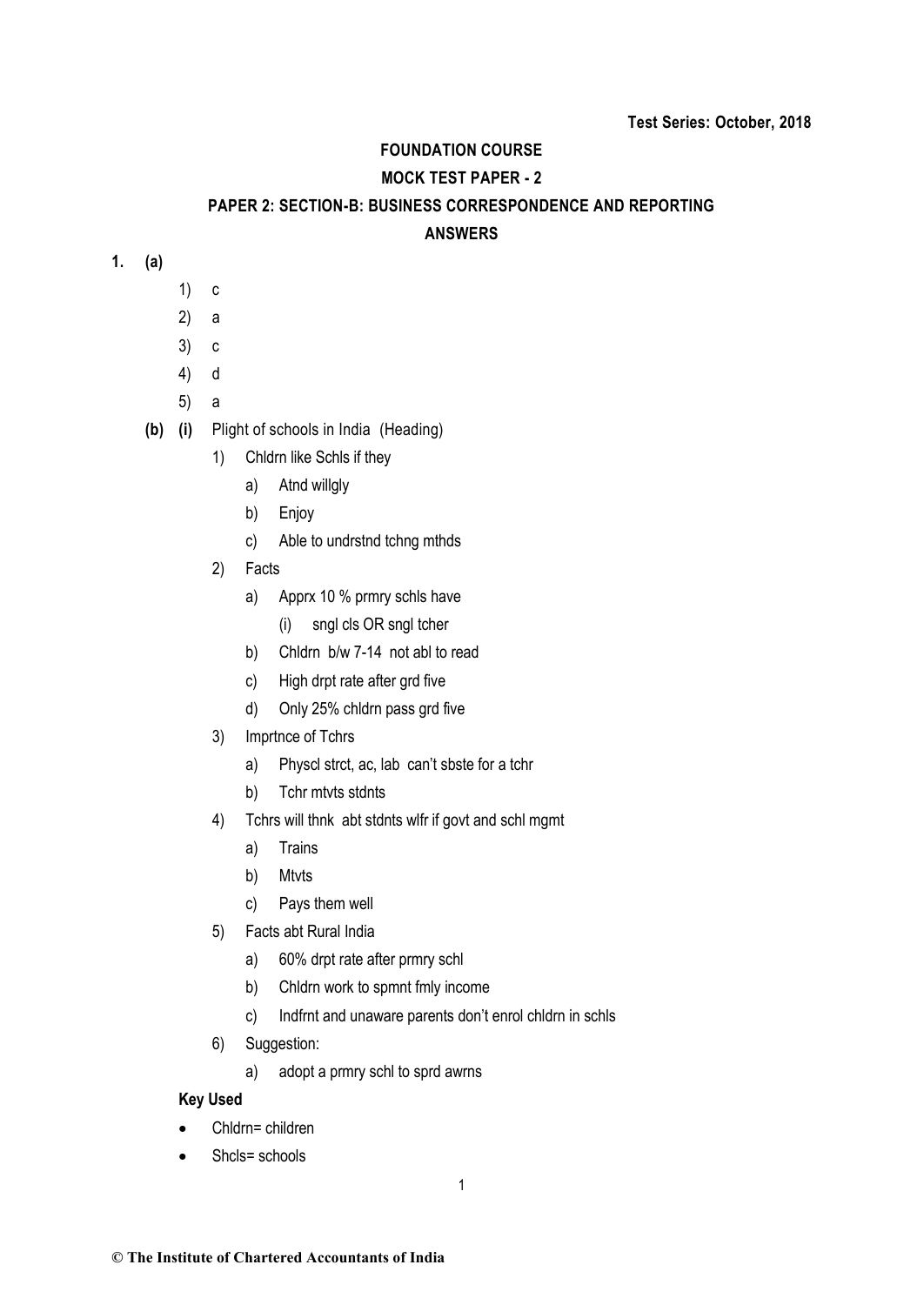## **FOUNDATION COURSE**

# **MOCK TEST PAPER - 2**

### **PAPER 2: SECTION-B: BUSINESS CORRESPONDENCE AND REPORTING**

## **ANSWERS**

- **1. (a)**
- 1) c
- 2) a
- 3) c
- 4) d
- 5) a
- **(b) (i)** Plight of schools in India (Heading)
	- 1) Chldrn like Schls if they
		- a) Atnd willgly
		- b) Enjoy
		- c) Able to undrstnd tchng mthds
	- 2) Facts
		- a) Apprx 10 % prmry schls have
			- (i) sngl cls OR sngl tcher
		- b) Chldrn b/w 7-14 not abl to read
		- c) High drpt rate after grd five
		- d) Only 25% chldrn pass grd five
	- 3) Imprtnce of Tchrs
		- a) Physcl strct, ac, lab can't sbste for a tchr
		- b) Tchr mtvts stdnts
	- 4) Tchrs will thnk abt stdnts wlfr if govt and schl mgmt
		- a) Trains
		- b) Mtvts
		- c) Pays them well
	- 5) Facts abt Rural India
		- a) 60% drpt rate after prmry schl
		- b) Chldrn work to spmnt fmly income
		- c) Indfrnt and unaware parents don't enrol chldrn in schls
	- 6) Suggestion:
		- a) adopt a prmry schl to sprd awrns

# **Key Used**

- Chldrn= children
- Shcls= schools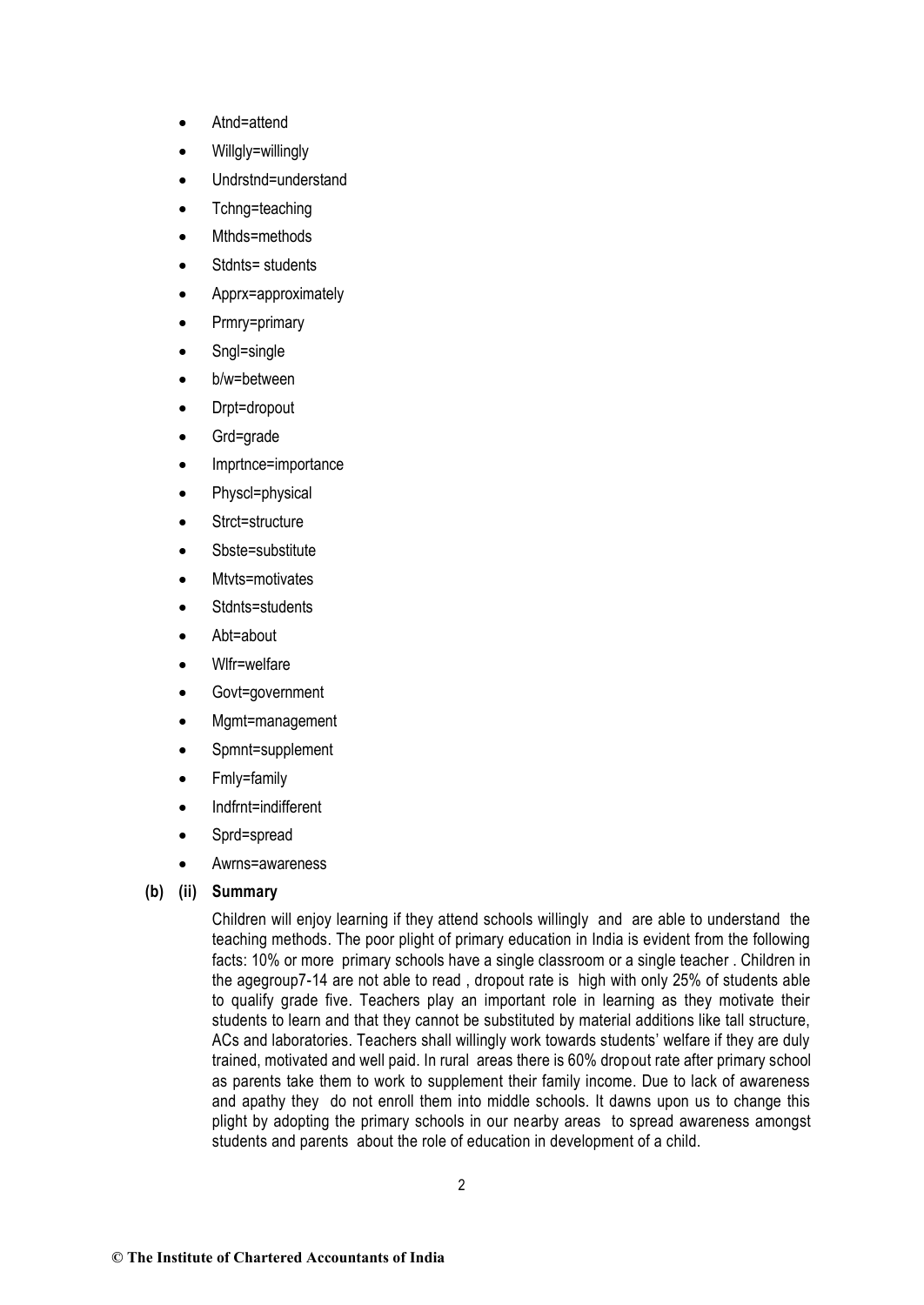- Atnd=attend
- Willalv=willingly
- Undrstnd=understand
- Tchng=teaching
- Mthds=methods
- Stdnts= students
- Apprx=approximately
- Prmry=primary
- Sngl=single
- b/w=between
- Drpt=dropout
- Grd=grade
- Imprtnce=importance
- Physcl=physical
- Strct=structure
- Sbste=substitute
- Mtyts=motivates
- Stdnts=students
- Abt=about
- Wlfr=welfare
- Govt=government
- Mgmt=management
- Spmnt=supplement
- Fmly=family
- Indfrnt=indifferent
- Sprd=spread
- Awrns=awareness

# **(b) (ii) Summary**

Children will enjoy learning if they attend schools willingly and are able to understand the teaching methods. The poor plight of primary education in India is evident from the following facts: 10% or more primary schools have a single classroom or a single teacher . Children in the agegroup7-14 are not able to read , dropout rate is high with only 25% of students able to qualify grade five. Teachers play an important role in learning as they motivate their students to learn and that they cannot be substituted by material additions like tall structure, ACs and laboratories. Teachers shall willingly work towards students' welfare if they are duly trained, motivated and well paid. In rural areas there is 60% dropout rate after primary school as parents take them to work to supplement their family income. Due to lack of awareness and apathy they do not enroll them into middle schools. It dawns upon us to change this plight by adopting the primary schools in our nearby areas to spread awareness amongst students and parents about the role of education in development of a child.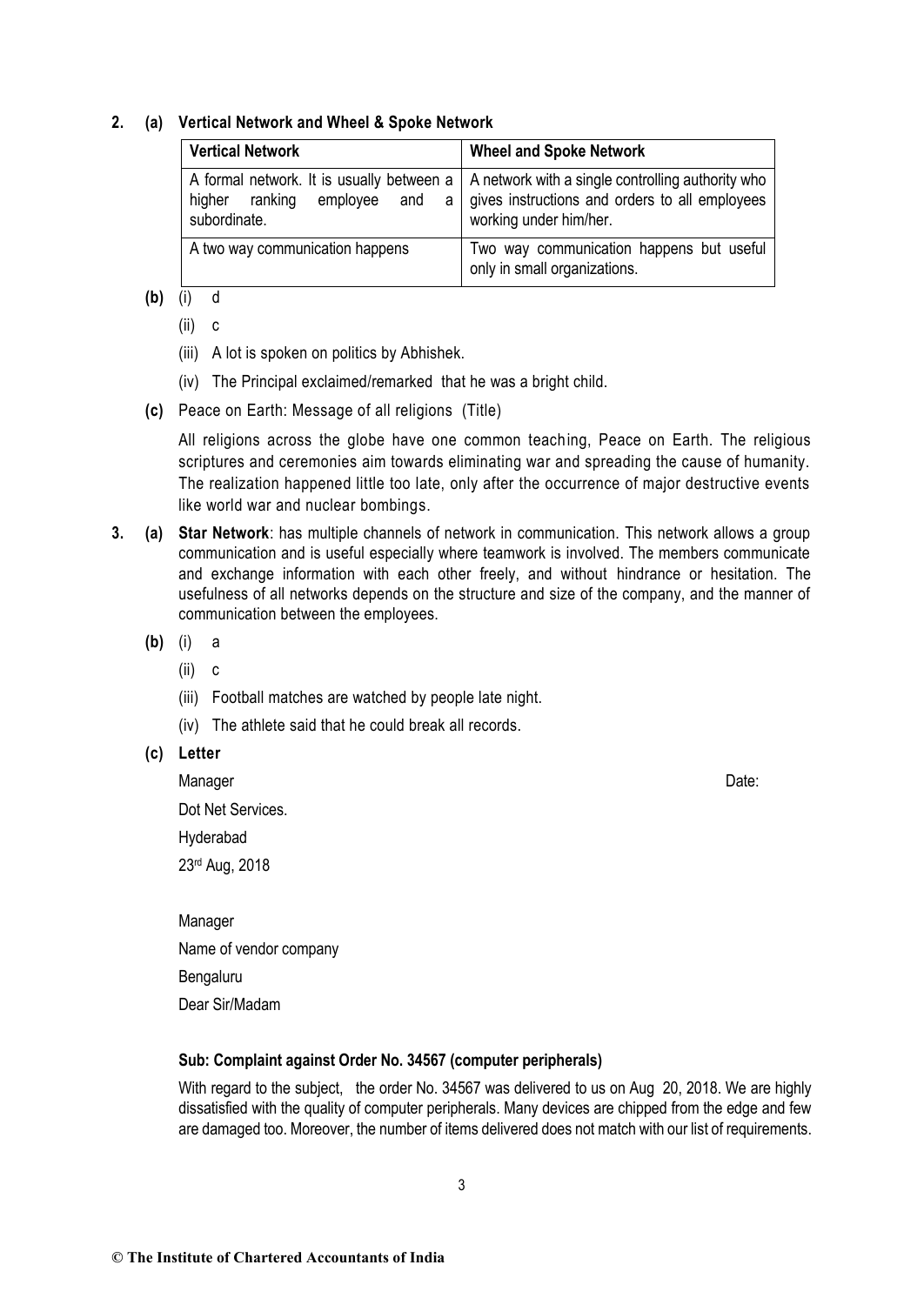### **2. (a) Vertical Network and Wheel & Spoke Network**

| <b>Vertical Network</b>                                                                               | <b>Wheel and Spoke Network</b>                                                                                                |
|-------------------------------------------------------------------------------------------------------|-------------------------------------------------------------------------------------------------------------------------------|
| A formal network. It is usually between a<br>higher ranking<br>employee<br>and<br>a l<br>subordinate. | A network with a single controlling authority who<br>gives instructions and orders to all employees<br>working under him/her. |
| A two way communication happens                                                                       | Two way communication happens but useful<br>only in small organizations.                                                      |

# **(b)** (i) d

- (ii) c
- (iii) A lot is spoken on politics by Abhishek.
- (iv) The Principal exclaimed/remarked that he was a bright child.
- **(c)** Peace on Earth: Message of all religions (Title)

All religions across the globe have one common teaching, Peace on Earth. The religious scriptures and ceremonies aim towards eliminating war and spreading the cause of humanity. The realization happened little too late, only after the occurrence of major destructive events like world war and nuclear bombings.

- **3. (a) Star Network**: has multiple channels of network in communication. This network allows a group communication and is useful especially where teamwork is involved. The members communicate and exchange information with each other freely, and without hindrance or hesitation. The usefulness of all networks depends on the structure and size of the company, and the manner of communication between the employees.
	- **(b)** (i) a
		- (ii) c
		- (iii) Football matches are watched by people late night.
		- (iv) The athlete said that he could break all records.
	- **(c) Letter**

Manager **Date: Date: Contract Contract Contract Contract Contract Contract Contract Contract Contract Contract Contract Contract Contract Contract Contract Contract Contract Contract Contract Contract Contract Contract** Dot Net Services.

Hyderabad

23rd Aug, 2018

| Manager                |
|------------------------|
| Name of vendor company |
| Bengaluru              |
| Dear Sir/Madam         |

### **Sub: Complaint against Order No. 34567 (computer peripherals)**

With regard to the subject, the order No. 34567 was delivered to us on Aug 20, 2018. We are highly dissatisfied with the quality of computer peripherals. Many devices are chipped from the edge and few are damaged too. Moreover, the number of items delivered does not match with our list of requirements.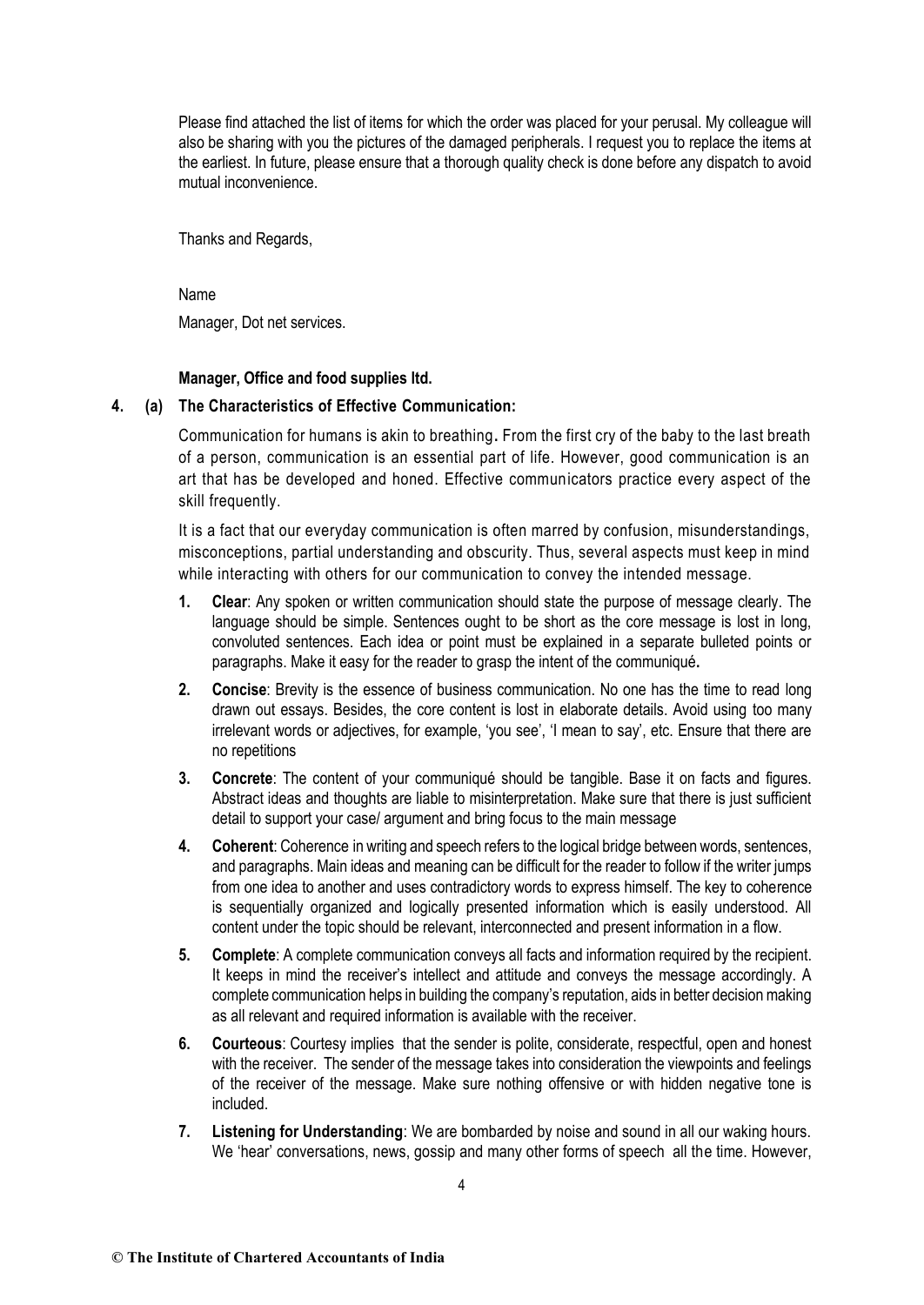Please find attached the list of items for which the order was placed for your perusal. My colleague will also be sharing with you the pictures of the damaged peripherals. I request you to replace the items at the earliest. In future, please ensure that a thorough quality check is done before any dispatch to avoid mutual inconvenience.

Thanks and Regards,

Name Manager, Dot net services.

### **Manager, Office and food supplies ltd.**

## **4. (a) The Characteristics of Effective Communication:**

Communication for humans is akin to breathing**.** From the first cry of the baby to the last breath of a person, communication is an essential part of life. However, good communication is an art that has be developed and honed. Effective communicators practice every aspect of the skill frequently.

It is a fact that our everyday communication is often marred by confusion, misunderstandings, misconceptions, partial understanding and obscurity. Thus, several aspects must keep in mind while interacting with others for our communication to convey the intended message.

- **1. Clear**: Any spoken or written communication should state the purpose of message clearly. The language should be simple. Sentences ought to be short as the core message is lost in long, convoluted sentences. Each idea or point must be explained in a separate bulleted points or paragraphs. Make it easy for the reader to grasp the intent of the communiqué**.**
- **2. Concise**: Brevity is the essence of business communication. No one has the time to read long drawn out essays. Besides, the core content is lost in elaborate details. Avoid using too many irrelevant words or adjectives, for example, 'you see', 'I mean to say', etc. Ensure that there are no repetitions
- **3. Concrete**: The content of your communiqué should be tangible. Base it on facts and figures. Abstract ideas and thoughts are liable to misinterpretation. Make sure that there is just sufficient detail to support your case/ argument and bring focus to the main message
- **4. Coherent**: Coherence in writing and speech refers to the logical bridge between words, sentences, and paragraphs. Main ideas and meaning can be difficult for the reader to follow if the writer jumps from one idea to another and uses contradictory words to express himself. The key to coherence is sequentially organized and logically presented information which is easily understood. All content under the topic should be relevant, interconnected and present information in a flow.
- **5. Complete**: A complete communication conveys all facts and information required by the recipient. It keeps in mind the receiver's intellect and attitude and conveys the message accordingly. A complete communication helps in building the company's reputation, aids in better decision making as all relevant and required information is available with the receiver.
- **6. Courteous**: Courtesy implies that the sender is polite, considerate, respectful, open and honest with the receiver. The sender of the message takes into consideration the viewpoints and feelings of the receiver of the message. Make sure nothing offensive or with hidden negative tone is included.
- **7. Listening for Understanding**: We are bombarded by noise and sound in all our waking hours. We 'hear' conversations, news, gossip and many other forms of speech all the time. However,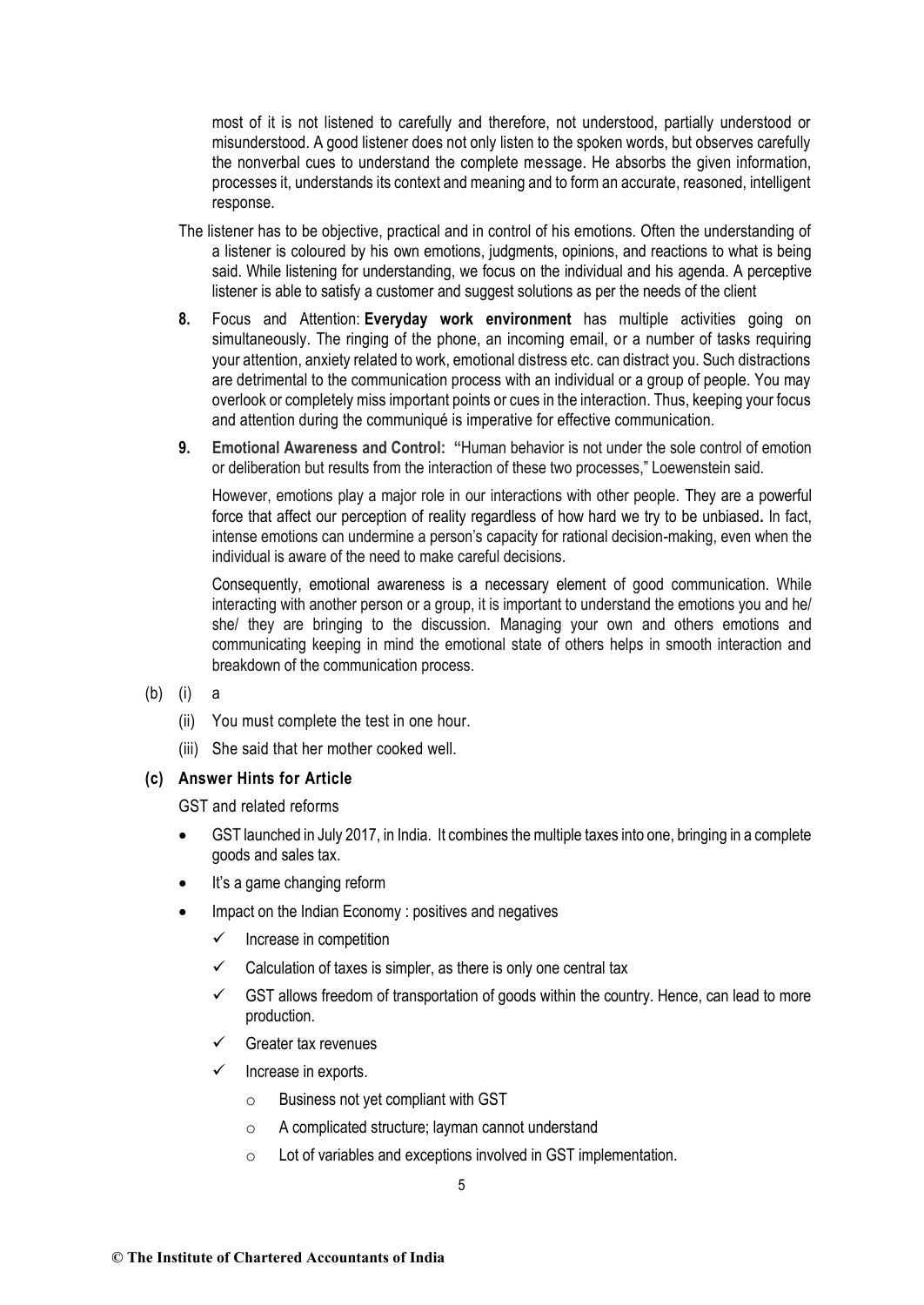most of it is not listened to carefully and therefore, not understood, partially understood or misunderstood. A good listener does not only listen to the spoken words, but observes carefully the nonverbal cues to understand the complete message. He absorbs the given information, processes it, understands its context and meaning and to form an accurate, reasoned, intelligent response.

- The listener has to be objective, practical and in control of his emotions. Often the understanding of a listener is coloured by his own emotions, judgments, opinions, and reactions to what is being said. While listening for understanding, we focus on the individual and his agenda. A perceptive listener is able to satisfy a customer and suggest solutions as per the needs of the client
- **8.** Focus and Attention: **Everyday work environment** has multiple activities going on simultaneously. The ringing of the phone, an incoming email, or a number of tasks requiring your attention, anxiety related to work, emotional distress etc. can distract you. Such distractions are detrimental to the communication process with an individual or a group of people. You may overlook or completely miss important points or cues in the interaction. Thus, keeping your focus and attention during the communiqué is imperative for effective communication.
- **9. Emotional Awareness and Control: "**Human behavior is not under the sole control of emotion or deliberation but results from the interaction of these two processes," Loewenstein said.

However, emotions play a major role in our interactions with other people. They are a powerful force that affect our perception of reality regardless of how hard we try to be unbiased**.** In fact, intense emotions can undermine a person's capacity for rational decision-making, even when the individual is aware of the need to make careful decisions.

Consequently, emotional awareness is a necessary element of good communication. While interacting with another person or a group, it is important to understand the emotions you and he/ she/ they are bringing to the discussion. Managing your own and others emotions and communicating keeping in mind the emotional state of others helps in smooth interaction and breakdown of the communication process.

- (b) (i) a
	- (ii) You must complete the test in one hour.
	- (iii) She said that her mother cooked well.

#### **(c) Answer Hints for Article**

GST and related reforms

- GST launched in July 2017, in India. It combines the multiple taxes into one, bringing in a complete goods and sales tax.
- It's a game changing reform
- Impact on the Indian Economy : positives and negatives
	- $\checkmark$  Increase in competition
	- $\checkmark$  Calculation of taxes is simpler, as there is only one central tax
	- $\checkmark$  GST allows freedom of transportation of goods within the country. Hence, can lead to more production.
	- Greater tax revenues
	- $\checkmark$  Increase in exports.
		- o Business not yet compliant with GST
		- o A complicated structure; layman cannot understand
		- o Lot of variables and exceptions involved in GST implementation.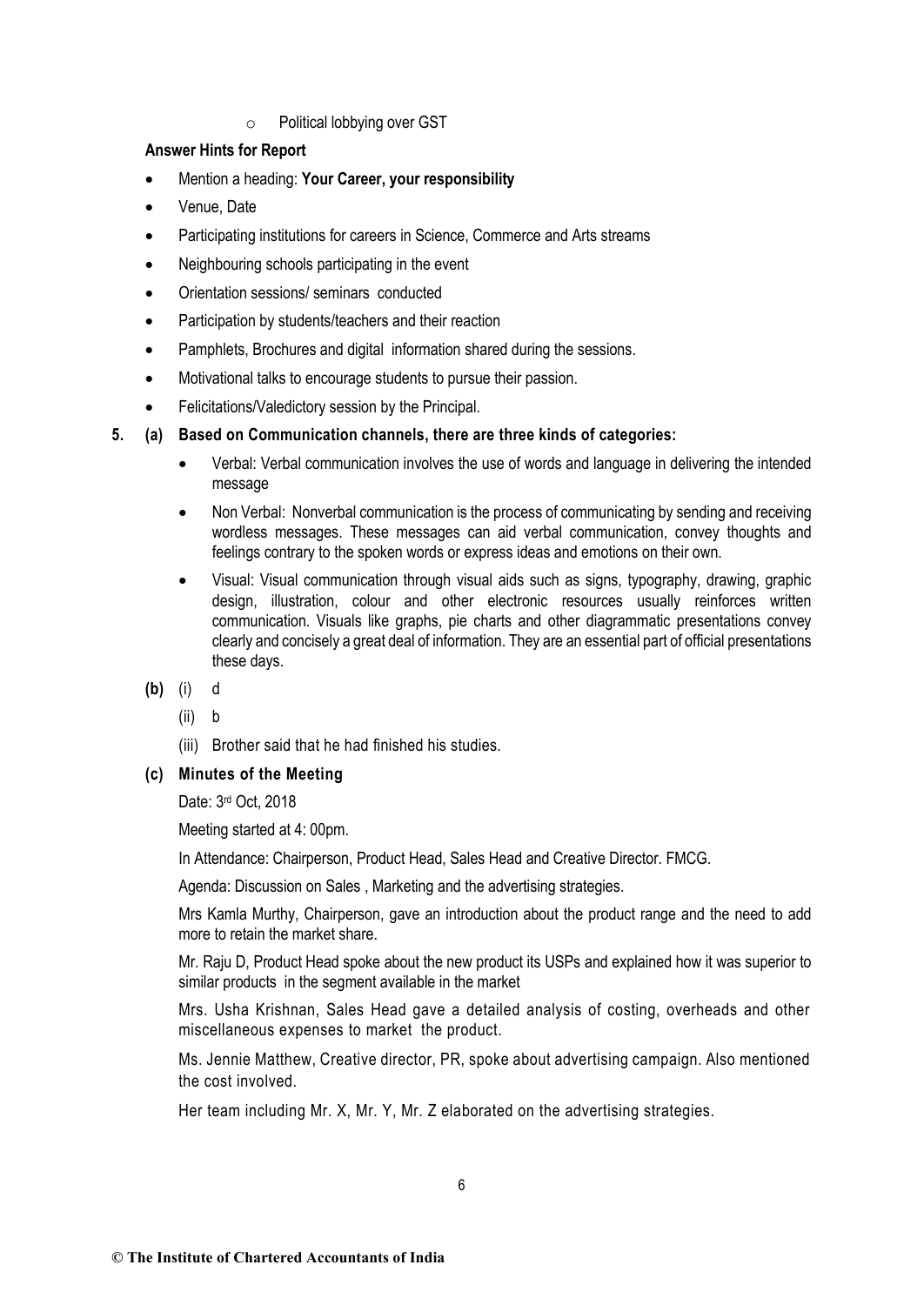o Political lobbying over GST

# **Answer Hints for Report**

- Mention a heading: **Your Career, your responsibility**
- Venue, Date
- Participating institutions for careers in Science, Commerce and Arts streams
- Neighbouring schools participating in the event
- Orientation sessions/ seminars conducted
- Participation by students/teachers and their reaction
- Pamphlets, Brochures and digital information shared during the sessions.
- Motivational talks to encourage students to pursue their passion.
- Felicitations/Valedictory session by the Principal.
- **5. (a) Based on Communication channels, there are three kinds of categories:**
	- Verbal: Verbal communication involves the use of words and language in delivering the intended message
	- Non Verbal: Nonverbal communication is the process of communicating by sending and receiving wordless messages. These messages can aid verbal communication, convey thoughts and feelings contrary to the spoken words or express ideas and emotions on their own.
	- Visual: Visual communication through visual aids such as signs, typography, drawing, graphic design, illustration, colour and other electronic resources usually reinforces written communication. Visuals like graphs, pie charts and other diagrammatic presentations convey clearly and concisely a great deal of information. They are an essential part of official presentations these days.
	- **(b)** (i) d
		- (ii) b
		- (iii) Brother said that he had finished his studies.

# **(c) Minutes of the Meeting**

Date: 3rd Oct, 2018

Meeting started at 4: 00pm.

In Attendance: Chairperson, Product Head, Sales Head and Creative Director. FMCG.

Agenda: Discussion on Sales , Marketing and the advertising strategies.

Mrs Kamla Murthy, Chairperson, gave an introduction about the product range and the need to add more to retain the market share.

Mr. Raju D, Product Head spoke about the new product its USPs and explained how it was superior to similar products in the segment available in the market

Mrs. Usha Krishnan, Sales Head gave a detailed analysis of costing, overheads and other miscellaneous expenses to market the product.

Ms. Jennie Matthew, Creative director, PR, spoke about advertising campaign. Also mentioned the cost involved.

Her team including Mr. X, Mr. Y, Mr. Z elaborated on the advertising strategies.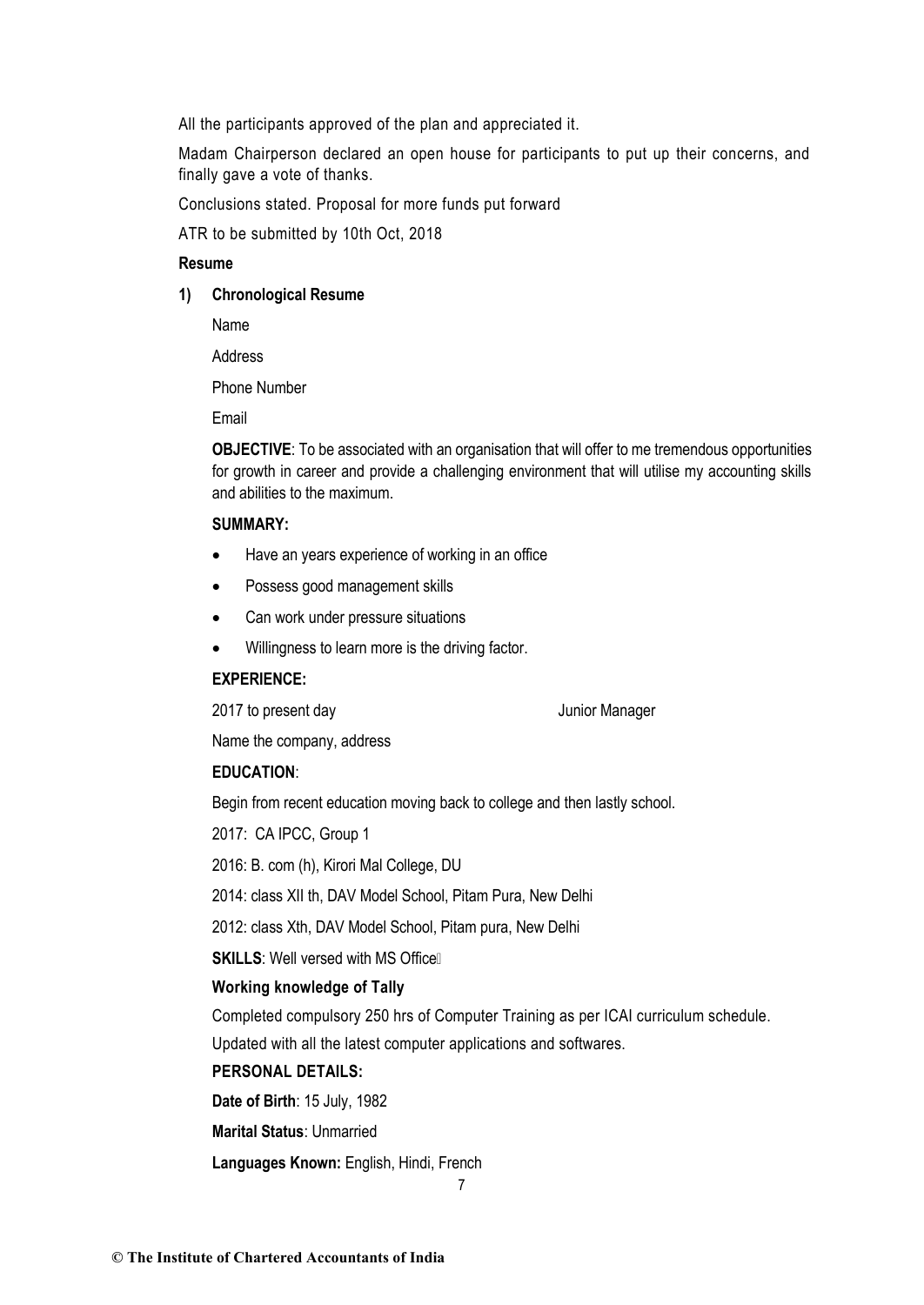All the participants approved of the plan and appreciated it.

Madam Chairperson declared an open house for participants to put up their concerns, and finally gave a vote of thanks.

Conclusions stated. Proposal for more funds put forward

ATR to be submitted by 10th Oct, 2018

# **Resume**

**1) Chronological Resume**

Name

Address

Phone Number

Email

**OBJECTIVE**: To be associated with an organisation that will offer to me tremendous opportunities for growth in career and provide a challenging environment that will utilise my accounting skills and abilities to the maximum.

## **SUMMARY:**

- Have an years experience of working in an office
- Possess good management skills
- Can work under pressure situations
- Willingness to learn more is the driving factor.

#### **EXPERIENCE:**

2017 to present day **San American** Summit Junior Manager

Name the company, address

### **EDUCATION**:

Begin from recent education moving back to college and then lastly school.

2017: CA IPCC, Group 1

2016: B. com (h), Kirori Mal College, DU

2014: class XII th, DAV Model School, Pitam Pura, New Delhi

2012: class Xth, DAV Model School, Pitam pura, New Delhi

**SKILLS**: Well versed with MS OfficeŸ

#### **Working knowledge of Tally**

Completed compulsory 250 hrs of Computer Training as per ICAI curriculum schedule.

Updated with all the latest computer applications and softwares.

## **PERSONAL DETAILS:**

**Date of Birth**: 15 July, 1982

**Marital Status**: Unmarried

**Languages Known:** English, Hindi, French